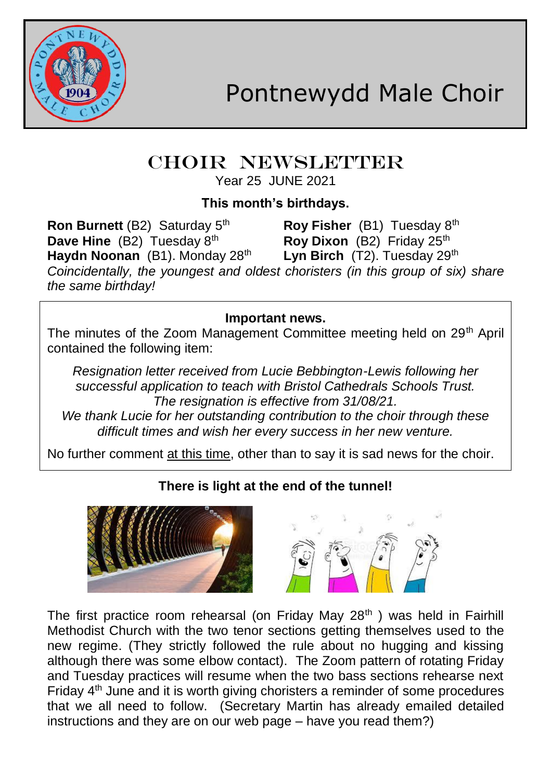

# CHOIR NEWSLETTER

Year 25 JUNE 2021

### **This month's birthdays.**

**Ron Burnett** (B2) Saturday 5 **Roy Fisher** (B1) Tuesday 8<sup>th</sup> **Dave Hine** (B2) Tuesday 8<sup>th</sup> **Roy Dixon** (B2) Friday 25<sup>th</sup><br>**Haydn Noonan** (B1) Monday 28<sup>th</sup> Lyn Birch (T2) Tuesday 29<sup>th</sup> **Haydn Noonan** (B1). Monday 28<sup>th</sup> *Coincidentally, the youngest and oldest choristers (in this group of six) share the same birthday!*

**Important news.**

The minutes of the Zoom Management Committee meeting held on 29<sup>th</sup> April contained the following item:

*Resignation letter received from Lucie Bebbington-Lewis following her successful application to teach with Bristol Cathedrals Schools Trust. The resignation is effective from 31/08/21.*

*We thank Lucie for her outstanding contribution to the choir through these difficult times and wish her every success in her new venture.*

No further comment at this time, other than to say it is sad news for the choir.

## **There is light at the end of the tunnel!**





The first practice room rehearsal (on Friday May  $28<sup>th</sup>$ ) was held in Fairhill Methodist Church with the two tenor sections getting themselves used to the new regime. (They strictly followed the rule about no hugging and kissing although there was some elbow contact). The Zoom pattern of rotating Friday and Tuesday practices will resume when the two bass sections rehearse next Friday  $4<sup>th</sup>$  June and it is worth giving choristers a reminder of some procedures that we all need to follow. (Secretary Martin has already emailed detailed instructions and they are on our web page – have you read them?)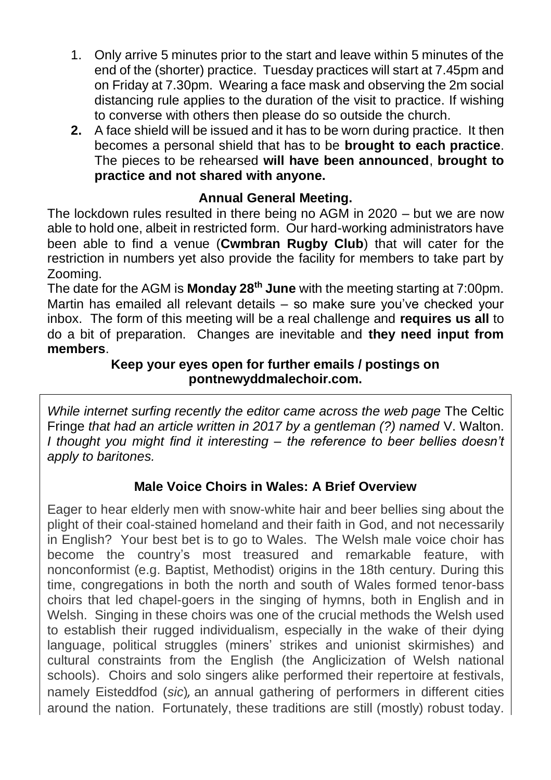- 1. Only arrive 5 minutes prior to the start and leave within 5 minutes of the end of the (shorter) practice. Tuesday practices will start at 7.45pm and on Friday at 7.30pm. Wearing a face mask and observing the 2m social distancing rule applies to the duration of the visit to practice. If wishing to converse with others then please do so outside the church.
- **2.** A face shield will be issued and it has to be worn during practice. It then becomes a personal shield that has to be **brought to each practice**. The pieces to be rehearsed **will have been announced**, **brought to practice and not shared with anyone.**

#### **Annual General Meeting.**

The lockdown rules resulted in there being no AGM in 2020 – but we are now able to hold one, albeit in restricted form. Our hard-working administrators have been able to find a venue (**Cwmbran Rugby Club**) that will cater for the restriction in numbers yet also provide the facility for members to take part by Zooming.

The date for the AGM is **Monday 28th June** with the meeting starting at 7:00pm. Martin has emailed all relevant details – so make sure you've checked your inbox. The form of this meeting will be a real challenge and **requires us all** to do a bit of preparation. Changes are inevitable and **they need input from members**.

#### **Keep your eyes open for further emails / postings on pontnewyddmalechoir.com.**

*While internet surfing recently the editor came across the web page* The Celtic Fringe *that had an article written in 2017 by a gentleman (?) named* V. Walton. *I thought you might find it interesting – the reference to beer bellies doesn't apply to baritones.*

#### **Male Voice Choirs in Wales: A Brief Overview**

Eager to hear elderly men with snow-white hair and beer bellies sing about the plight of their coal-stained homeland and their faith in God, and not necessarily in English? Your best bet is to go to Wales. The Welsh male voice choir has become the country's most treasured and remarkable feature, with nonconformist (e.g. Baptist, Methodist) origins in the 18th century. During this time, congregations in both the north and south of Wales formed tenor-bass choirs that led chapel-goers in the singing of hymns, both in English and in Welsh. Singing in these choirs was one of the crucial methods the Welsh used to establish their rugged individualism, especially in the wake of their dying language, political struggles (miners' strikes and unionist skirmishes) and cultural constraints from the English (the Anglicization of Welsh national schools). Choirs and solo singers alike performed their repertoire at festivals, namely Eisteddfod (*sic*)*,* an annual gathering of performers in different cities around the nation. Fortunately, these traditions are still (mostly) robust today.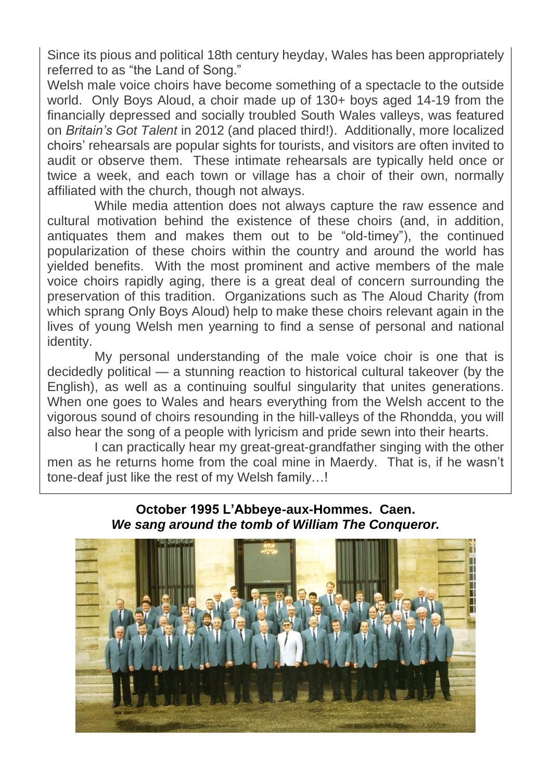Since its pious and political 18th century heyday, Wales has been appropriately referred to as "the Land of Song."

Welsh male voice choirs have become something of a spectacle to the outside world. Only Boys Aloud, a choir made up of 130+ boys aged 14-19 from the financially depressed and socially troubled South Wales valleys, was featured on *Britain's Got Talent* in 2012 (and placed third!). Additionally, more localized choirs' rehearsals are popular sights for tourists, and visitors are often invited to audit or observe them. These intimate rehearsals are typically held once or twice a week, and each town or village has a choir of their own, normally affiliated with the church, though not always.

While media attention does not always capture the raw essence and cultural motivation behind the existence of these choirs (and, in addition, antiquates them and makes them out to be "old-timey"), the continued popularization of these choirs within the country and around the world has yielded benefits. With the most prominent and active members of the male voice choirs rapidly aging, there is a great deal of concern surrounding the preservation of this tradition. Organizations such as The Aloud Charity (from which sprang Only Boys Aloud) help to make these choirs relevant again in the lives of young Welsh men yearning to find a sense of personal and national identity.

My personal understanding of the male voice choir is one that is decidedly political — a stunning reaction to historical cultural takeover (by the English), as well as a continuing soulful singularity that unites generations. When one goes to Wales and hears everything from the Welsh accent to the vigorous sound of choirs resounding in the hill-valleys of the Rhondda, you will also hear the song of a people with lyricism and pride sewn into their hearts.

I can practically hear my great-great-grandfather singing with the other men as he returns home from the coal mine in Maerdy. That is, if he wasn't tone-deaf just like the rest of my Welsh family…!



#### **October 1995 L'Abbeye-aux-Hommes. Caen.** *We sang around the tomb of William The Conqueror.*